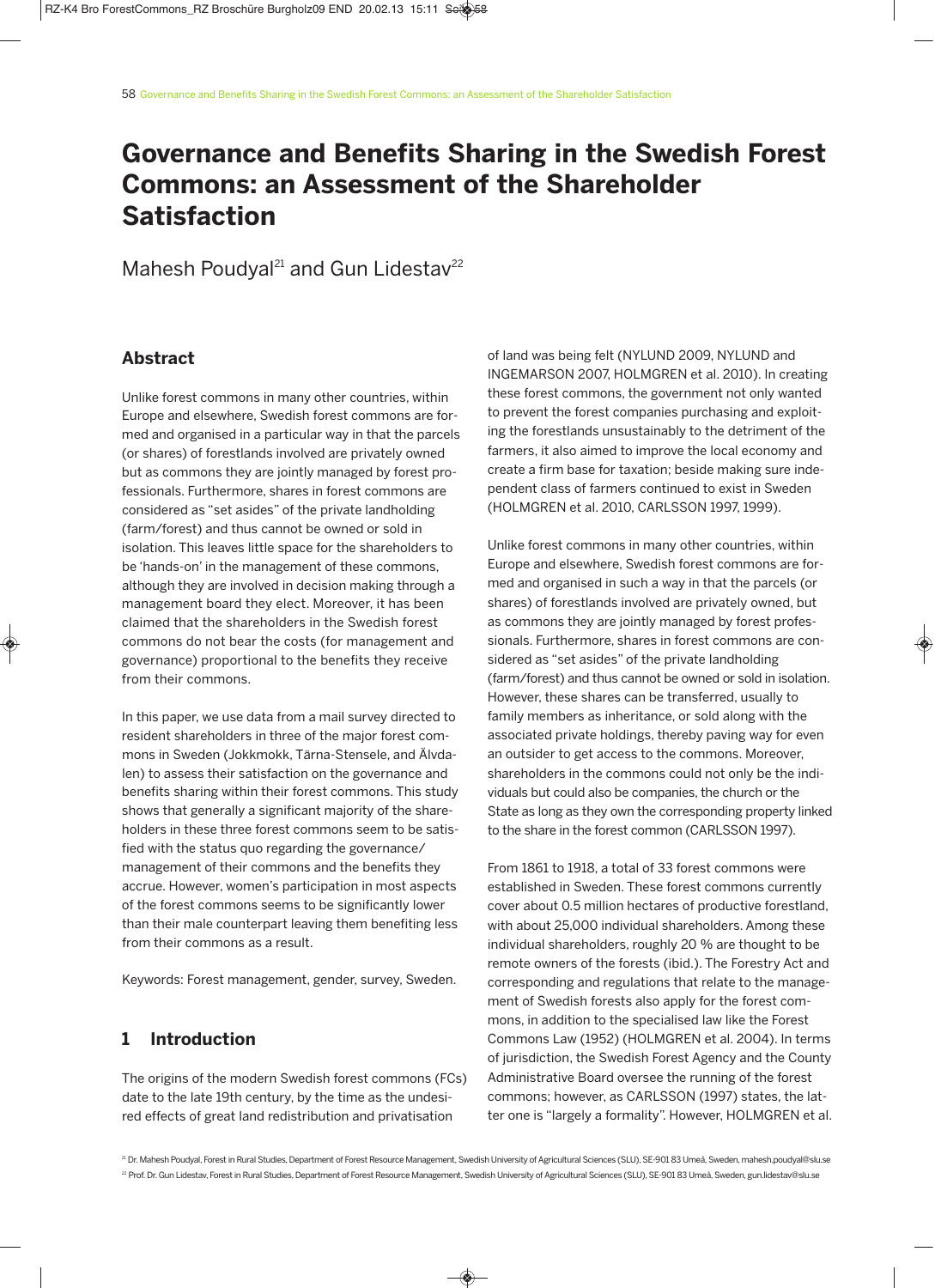# **Governance and Benefits Sharing in the Swedish Forest Commons: an Assessment of the Shareholder Satisfaction**

Mahesh Poudyal<sup>21</sup> and Gun Lidestav<sup>22</sup>

## **Abstract**

Unlike forest commons in many other countries, within Europe and elsewhere, Swedish forest commons are formed and organised in a particular way in that the parcels (or shares) of forestlands involved are privately owned but as commons they are jointly managed by forest professionals. Furthermore, shares in forest commons are considered as "set asides" of the private landholding (farm/forest) and thus cannot be owned or sold in isolation. This leaves little space for the shareholders to be 'hands-on' in the management of these commons, although they are involved in decision making through a management board they elect. Moreover, it has been claimed that the shareholders in the Swedish forest commons do not bear the costs (for management and governance) proportional to the benefits they receive from their commons.

In this paper, we use data from a mail survey directed to resident shareholders in three of the major forest commons in Sweden (Jokkmokk, Tärna-Stensele, and Älvdalen) to assess their satisfaction on the governance and benefits sharing within their forest commons. This study shows that generally a significant majority of the shareholders in these three forest commons seem to be satisfied with the status quo regarding the governance/ management of their commons and the benefits they accrue. However, women's participation in most aspects of the forest commons seems to be significantly lower than their male counterpart leaving them benefiting less from their commons as a result.

Keywords: Forest management, gender, survey, Sweden.

## **1 Introduction**

The origins of the modern Swedish forest commons (FCs) date to the late 19th century, by the time as the undesired effects of great land redistribution and privatisation

of land was being felt (NYLUND 2009, NYLUND and INGEMARSON 2007, HOLMGREN et al. 2010). In creating these forest commons, the government not only wanted to prevent the forest companies purchasing and exploiting the forestlands unsustainably to the detriment of the farmers, it also aimed to improve the local economy and create a firm base for taxation; beside making sure independent class of farmers continued to exist in Sweden (HOLMGREN et al. 2010, CARLSSON 1997, 1999).

Unlike forest commons in many other countries, within Europe and elsewhere, Swedish forest commons are formed and organised in such a way in that the parcels (or shares) of forestlands involved are privately owned, but as commons they are jointly managed by forest professionals. Furthermore, shares in forest commons are considered as "set asides" of the private landholding (farm/forest) and thus cannot be owned or sold in isolation. However, these shares can be transferred, usually to family members as inheritance, or sold along with the associated private holdings, thereby paving way for even an outsider to get access to the commons. Moreover, shareholders in the commons could not only be the individuals but could also be companies, the church or the State as long as they own the corresponding property linked to the share in the forest common (CARLSSON 1997).

From 1861 to 1918, a total of 33 forest commons were established in Sweden. These forest commons currently cover about 0.5 million hectares of productive forestland, with about 25,000 individual shareholders. Among these individual shareholders, roughly 20 % are thought to be remote owners of the forests (ibid.). The Forestry Act and corresponding and regulations that relate to the management of Swedish forests also apply for the forest commons, in addition to the specialised law like the Forest Commons Law (1952) (HOLMGREN et al. 2004). In terms of jurisdiction, the Swedish Forest Agency and the County Administrative Board oversee the running of the forest commons; however, as CARLSSON (1997) states, the latter one is "largely a formality". However, HOLMGREN et al.

<sup>21</sup> Dr. Mahesh Poudyal, Forest in Rural Studies, Department of Forest Resource Management, Swedish University of Agricultural Sciences (SLU), SE-901 83 Umeå, Sweden, mahesh.poudyal@slu.se <sup>22</sup> Prof. Dr. Gun Lidestav, Forest in Rural Studies, Department of Forest Resource Management, Swedish University of Agricultural Sciences (SLU), SE-901 83 Umeå, Sweden, gun.lidestav@slu.se

 $\bigcirc$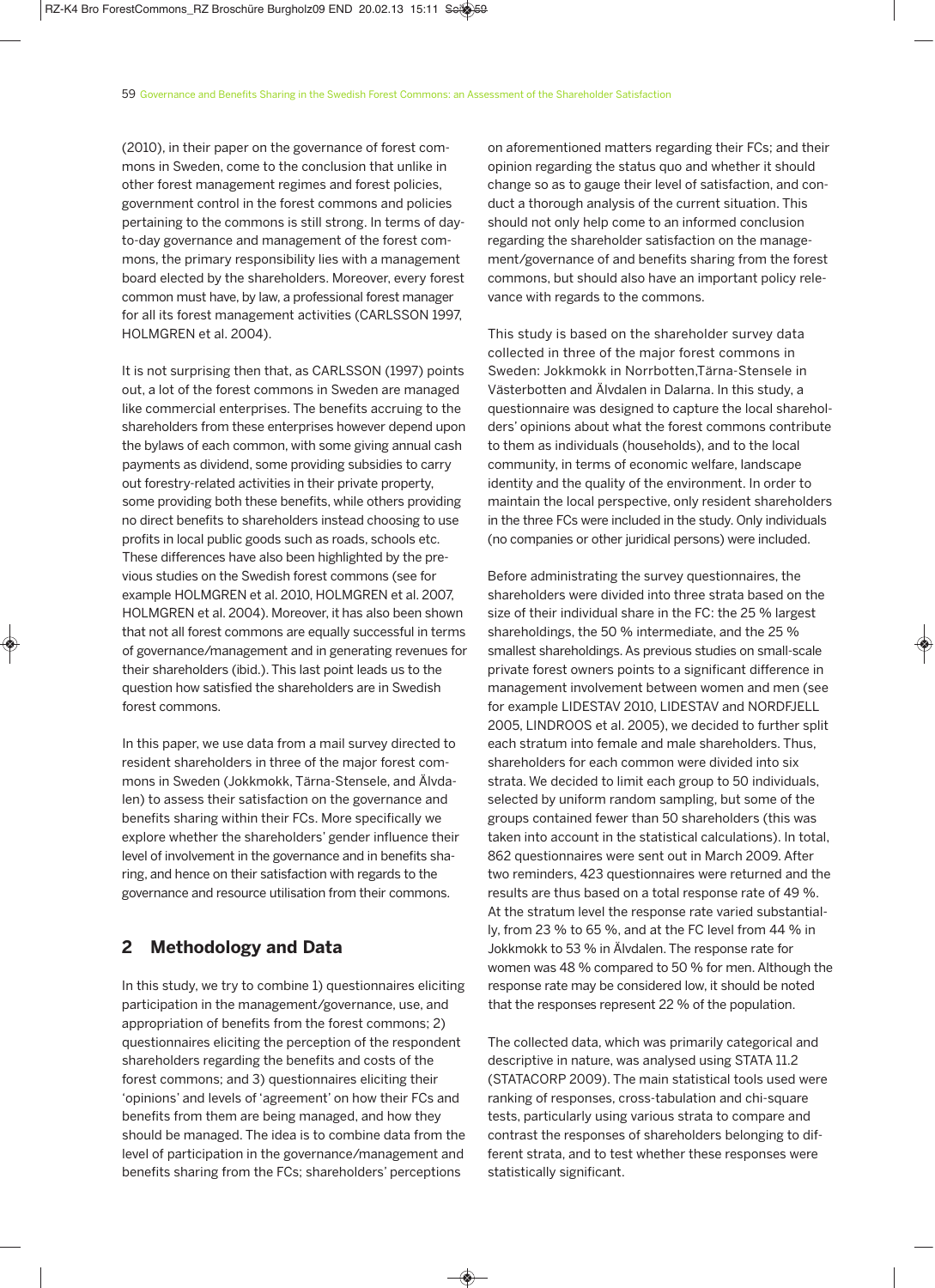(2010), in their paper on the governance of forest commons in Sweden, come to the conclusion that unlike in other forest management regimes and forest policies, government control in the forest commons and policies pertaining to the commons is still strong. In terms of dayto-day governance and management of the forest commons, the primary responsibility lies with a management board elected by the shareholders. Moreover, every forest common must have, by law, a professional forest manager for all its forest management activities (CARLSSON 1997, HOLMGREN et al. 2004).

It is not surprising then that, as CARLSSON (1997) points out, a lot of the forest commons in Sweden are managed like commercial enterprises. The benefits accruing to the shareholders from these enterprises however depend upon the bylaws of each common, with some giving annual cash payments as dividend, some providing subsidies to carry out forestry-related activities in their private property, some providing both these benefits, while others providing no direct benefits to shareholders instead choosing to use profits in local public goods such as roads, schools etc. These differences have also been highlighted by the previous studies on the Swedish forest commons (see for example HOLMGREN et al. 2010, HOLMGREN et al. 2007, HOLMGREN et al. 2004). Moreover, it has also been shown that not all forest commons are equally successful in terms of governance/management and in generating revenues for their shareholders (ibid.). This last point leads us to the question how satisfied the shareholders are in Swedish forest commons.

In this paper, we use data from a mail survey directed to resident shareholders in three of the major forest commons in Sweden (Jokkmokk, Tärna-Stensele, and Älvdalen) to assess their satisfaction on the governance and benefits sharing within their FCs. More specifically we explore whether the shareholders' gender influence their level of involvement in the governance and in benefits sharing, and hence on their satisfaction with regards to the governance and resource utilisation from their commons.

## **2 Methodology and Data**

In this study, we try to combine 1) questionnaires eliciting participation in the management/governance, use, and appropriation of benefits from the forest commons; 2) questionnaires eliciting the perception of the respondent shareholders regarding the benefits and costs of the forest commons; and 3) questionnaires eliciting their 'opinions' and levels of 'agreement' on how their FCs and benefits from them are being managed, and how they should be managed. The idea is to combine data from the level of participation in the governance/management and benefits sharing from the FCs; shareholders' perceptions

 $\bigcirc$ 

on aforementioned matters regarding their FCs; and their opinion regarding the status quo and whether it should change so as to gauge their level of satisfaction, and conduct a thorough analysis of the current situation. This should not only help come to an informed conclusion regarding the shareholder satisfaction on the management/governance of and benefits sharing from the forest commons, but should also have an important policy relevance with regards to the commons.

This study is based on the shareholder survey data collected in three of the major forest commons in Sweden: Jokkmokk in Norrbotten,Tärna-Stensele in Västerbotten and Älvdalen in Dalarna. In this study, a questionnaire was designed to capture the local shareholders' opinions about what the forest commons contribute to them as individuals (households), and to the local community, in terms of economic welfare, landscape identity and the quality of the environment. In order to maintain the local perspective, only resident shareholders in the three FCs were included in the study. Only individuals (no companies or other juridical persons) were included.

Before administrating the survey questionnaires, the shareholders were divided into three strata based on the size of their individual share in the FC: the 25 % largest shareholdings, the 50 % intermediate, and the 25 % smallest shareholdings.As previous studies on small-scale private forest owners points to a significant difference in management involvement between women and men (see for example LIDESTAV 2010, LIDESTAV and NORDFJELL 2005, LINDROOS et al. 2005), we decided to further split each stratum into female and male shareholders. Thus, shareholders for each common were divided into six strata. We decided to limit each group to 50 individuals, selected by uniform random sampling, but some of the groups contained fewer than 50 shareholders (this was taken into account in the statistical calculations). In total, 862 questionnaires were sent out in March 2009. After two reminders, 423 questionnaires were returned and the results are thus based on a total response rate of 49 %. At the stratum level the response rate varied substantially, from 23 % to 65 %, and at the FC level from 44 % in Jokkmokk to 53 % in Älvdalen. The response rate for women was 48 % compared to 50 % for men. Although the response rate may be considered low, it should be noted that the responses represent 22 % of the population.

The collected data, which was primarily categorical and descriptive in nature, was analysed using STATA 11.2 (STATACORP 2009). The main statistical tools used were ranking of responses, cross-tabulation and chi-square tests, particularly using various strata to compare and contrast the responses of shareholders belonging to different strata, and to test whether these responses were statistically significant.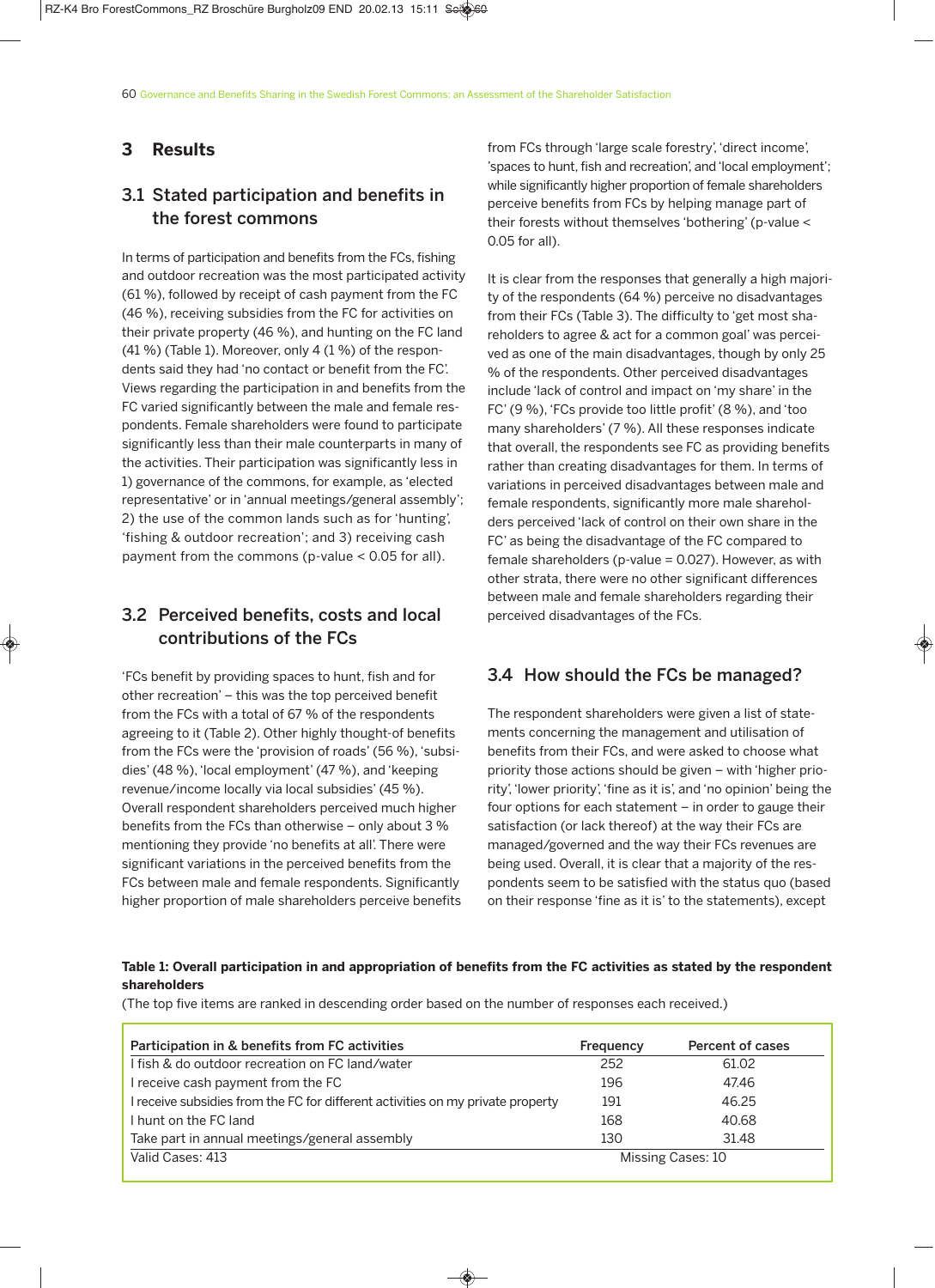#### **3 Results**

# 3.1 Stated participation and benefits in the forest commons

In terms of participation and benefits from the FCs, fishing and outdoor recreation was the most participated activity (61 %), followed by receipt of cash payment from the FC (46 %), receiving subsidies from the FC for activities on their private property (46 %), and hunting on the FC land (41 %) (Table 1). Moreover, only 4 (1 %) of the respondents said they had 'no contact or benefit from the FC'. Views regarding the participation in and benefits from the FC varied significantly between the male and female respondents. Female shareholders were found to participate significantly less than their male counterparts in many of the activities. Their participation was significantly less in 1) governance of the commons, for example, as 'elected representative' or in 'annual meetings/general assembly'; 2) the use of the common lands such as for 'hunting', 'fishing & outdoor recreation'; and 3) receiving cash payment from the commons (p-value < 0.05 for all).

# 3.2 Perceived benefits, costs and local contributions of the FCs

'FCs benefit by providing spaces to hunt, fish and for other recreation' – this was the top perceived benefit from the FCs with a total of 67 % of the respondents agreeing to it (Table 2). Other highly thought-of benefits from the FCs were the 'provision of roads'(56 %), 'subsidies'(48 %), 'local employment'(47 %), and 'keeping revenue/income locally via local subsidies'(45 %). Overall respondent shareholders perceived much higher benefits from the FCs than otherwise – only about 3 % mentioning they provide 'no benefits at all'. There were significant variations in the perceived benefits from the FCs between male and female respondents. Significantly higher proportion of male shareholders perceive benefits from FCs through 'large scale forestry', 'direct income', 'spaces to hunt, fish and recreation', and 'local employment'; while significantly higher proportion of female shareholders perceive benefits from FCs by helping manage part of their forests without themselves 'bothering'(p-value < 0.05 for all).

It is clear from the responses that generally a high majority of the respondents (64 %) perceive no disadvantages from their FCs (Table 3). The difficulty to 'get most shareholders to agree & act for a common goal' was perceived as one of the main disadvantages, though by only 25 % of the respondents. Other perceived disadvantages include 'lack of control and impact on 'my share' in the FC'(9 %), 'FCs provide too little profit'(8 %), and 'too many shareholders'(7 %). All these responses indicate that overall, the respondents see FC as providing benefits rather than creating disadvantages for them. In terms of variations in perceived disadvantages between male and female respondents, significantly more male shareholders perceived 'lack of control on their own share in the FC' as being the disadvantage of the FC compared to female shareholders (p-value = 0.027). However, as with other strata, there were no other significant differences between male and female shareholders regarding their perceived disadvantages of the FCs.

## 3.4 How should the FCs be managed?

The respondent shareholders were given a list of statements concerning the management and utilisation of benefits from their FCs, and were asked to choose what priority those actions should be given – with 'higher priority', 'lower priority', 'fine as it is', and 'no opinion' being the four options for each statement – in order to gauge their satisfaction (or lack thereof) at the way their FCs are managed/governed and the way their FCs revenues are being used. Overall, it is clear that a majority of the respondents seem to be satisfied with the status quo (based on their response 'fine as it is' to the statements), except

#### Table 1: Overall participation in and appropriation of benefits from the FC activities as stated by the respondent **shareholders**

(The top five items are ranked in descending order based on the number of responses each received.)

| Participation in & benefits from FC activities                                  | Frequency         | Percent of cases |  |
|---------------------------------------------------------------------------------|-------------------|------------------|--|
| I fish & do outdoor recreation on FC land/water                                 | 252               | 61.02            |  |
| I receive cash payment from the FC                                              | 196               | 47.46            |  |
| I receive subsidies from the FC for different activities on my private property | 191               | 46.25            |  |
| I hunt on the FC land                                                           | 168               | 40.68            |  |
| Take part in annual meetings/general assembly                                   | 130               | 31.48            |  |
| Valid Cases: 413                                                                | Missing Cases: 10 |                  |  |

◈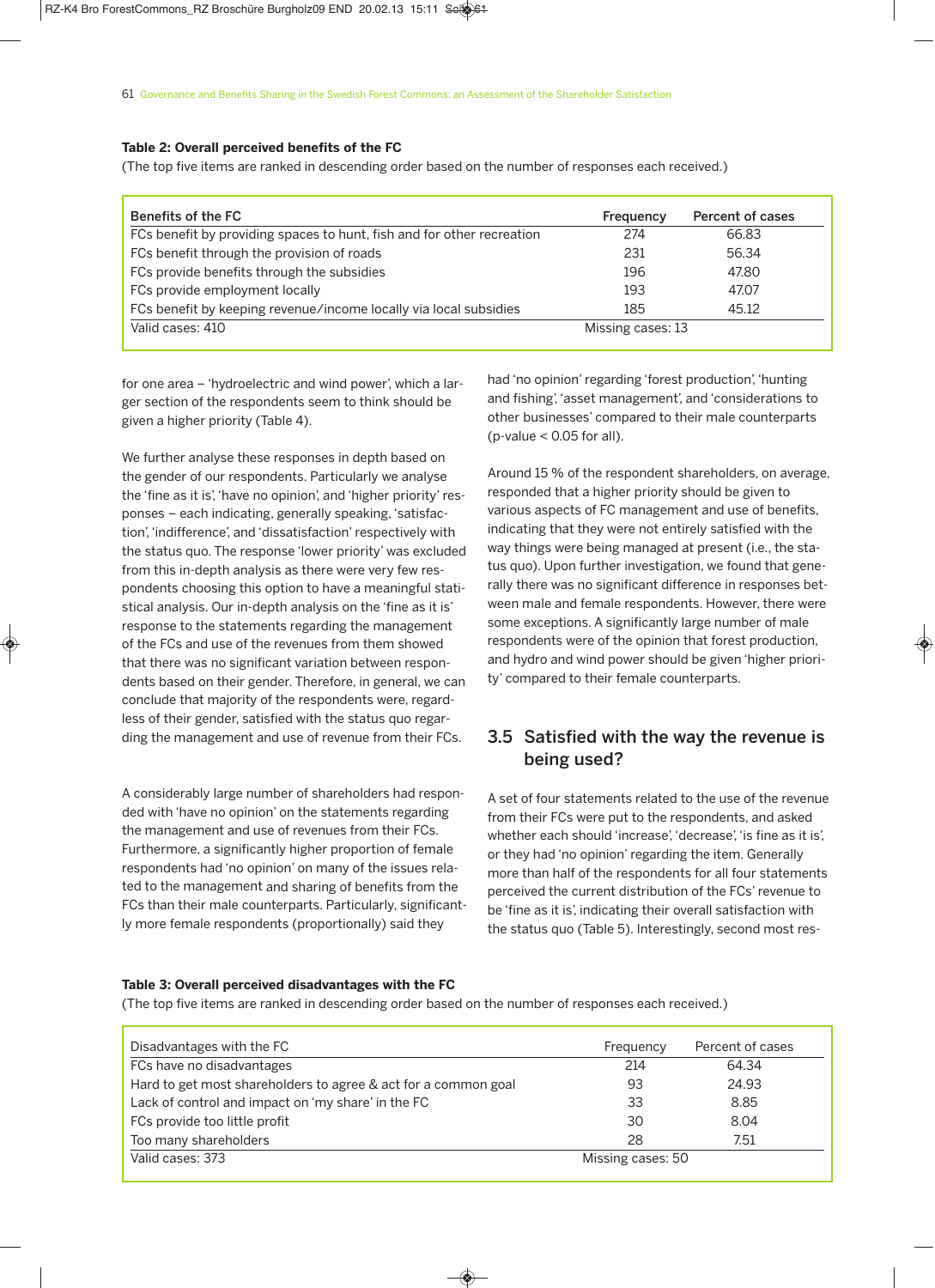#### **Table 2: Overall perceived benefits of the FC**

(The top five items are ranked in descending order based on the number of responses each received.)

| Benefits of the FC                                                     | Frequency         | Percent of cases |
|------------------------------------------------------------------------|-------------------|------------------|
| FCs benefit by providing spaces to hunt, fish and for other recreation | 274               | 66.83            |
| FCs benefit through the provision of roads                             | 231               | 56.34            |
| FCs provide benefits through the subsidies                             | 196               | 47.80            |
| FCs provide employment locally                                         | 193               | 47.07            |
| FCs benefit by keeping revenue/income locally via local subsidies      | 185               | 45.12            |
| Valid cases: 410                                                       | Missing cases: 13 |                  |

for one area – 'hydroelectric and wind power', which a larger section of the respondents seem to think should be given a higher priority (Table 4).

We further analyse these responses in depth based on the gender of our respondents. Particularly we analyse the 'fine as it is', 'have no opinion', and 'higher priority' responses – each indicating, generally speaking, 'satisfaction', 'indifference', and 'dissatisfaction' respectively with the status quo. The response 'lower priority' was excluded from this in-depth analysis as there were very few respondents choosing this option to have a meaningful statistical analysis. Our in-depth analysis on the 'fine as it is' response to the statements regarding the management of the FCs and use of the revenues from them showed that there was no significant variation between respondents based on their gender. Therefore, in general, we can conclude that majority of the respondents were, regardless of their gender, satisfied with the status quo regarding the management and use of revenue from their FCs.

A considerably large number of shareholders had responded with 'have no opinion' on the statements regarding the management and use of revenues from their FCs. Furthermore, a significantly higher proportion of female respondents had 'no opinion' on many of the issues related to the management and sharing of benefits from the FCs than their male counterparts. Particularly, significantly more female respondents (proportionally) said they

had 'no opinion' regarding 'forest production', 'hunting and fishing', 'asset management', and 'considerations to other businesses' compared to their male counterparts ( $p$ -value < 0.05 for all).

Around 15 % of the respondent shareholders, on average, responded that a higher priority should be given to various aspects of FC management and use of benefits, indicating that they were not entirely satisfied with the way things were being managed at present (i.e., the status quo). Upon further investigation, we found that generally there was no significant difference in responses between male and female respondents. However, there were some exceptions. A significantly large number of male respondents were of the opinion that forest production, and hydro and wind power should be given 'higher priority' compared to their female counterparts.

# 3.5 Satisfied with the way the revenue is being used?

A set of four statements related to the use of the revenue from their FCs were put to the respondents, and asked whether each should 'increase', 'decrease', 'is fine as it is', or they had 'no opinion' regarding the item. Generally more than half of the respondents for all four statements perceived the current distribution of the FCs' revenue to be 'fine as it is', indicating their overall satisfaction with the status quo (Table 5). Interestingly, second most res-

#### **Table 3: Overall perceived disadvantages with the FC**

(The top five items are ranked in descending order based on the number of responses each received.)

| Disadvantages with the FC                                      | Frequency         | Percent of cases |  |
|----------------------------------------------------------------|-------------------|------------------|--|
| FCs have no disadvantages                                      | 214               | 64.34            |  |
| Hard to get most shareholders to agree & act for a common goal | 93                | 24.93            |  |
| Lack of control and impact on 'my share' in the FC             | 33                | 8.85             |  |
| FCs provide too little profit                                  | 30                | 8.04             |  |
| Too many shareholders                                          | 28                | 7.51             |  |
| Valid cases: 373                                               | Missing cases: 50 |                  |  |

◈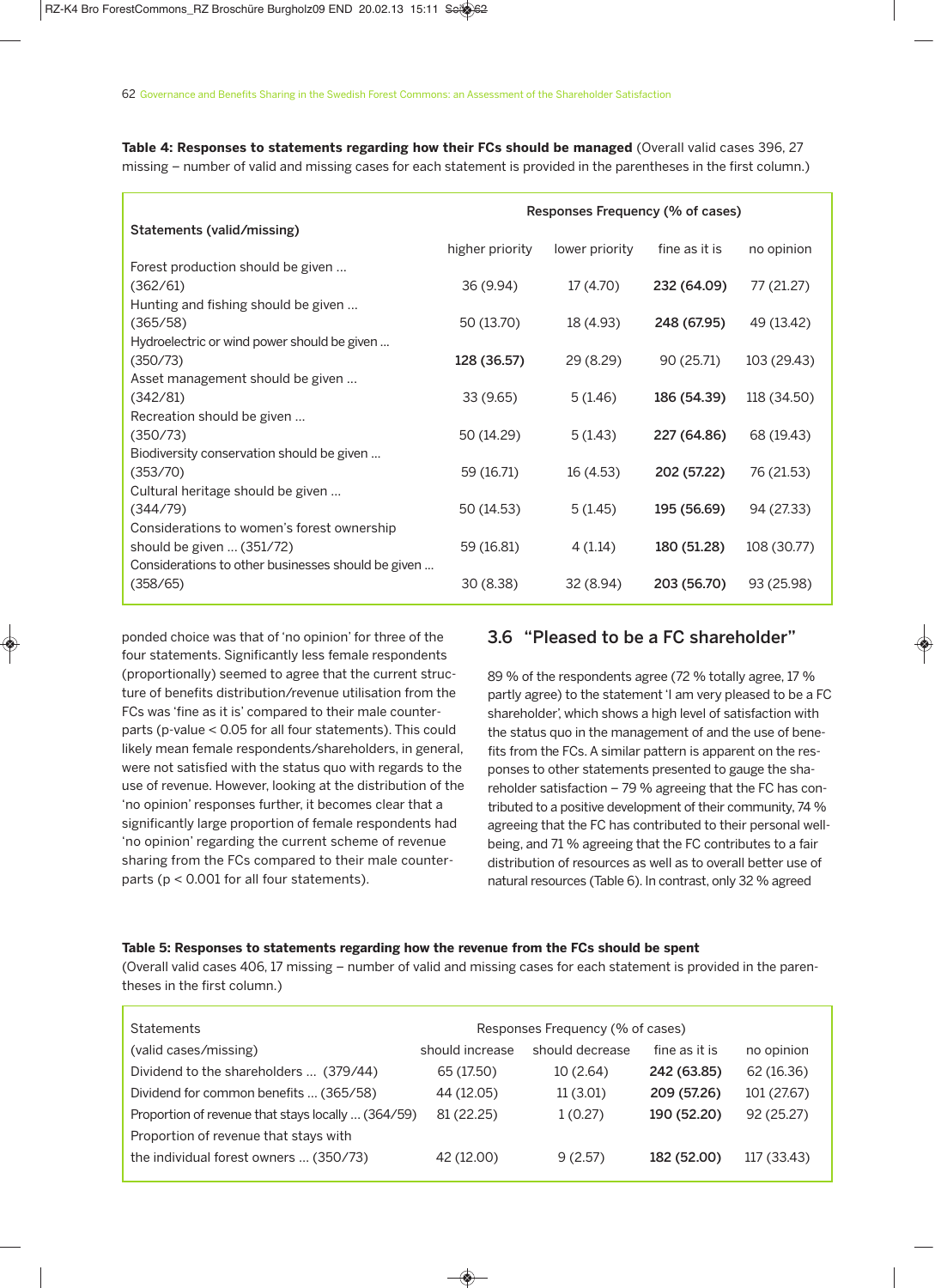**Table 4: Responses to statements regarding how their FCs should be managed** (Overall valid cases 396, 27 missing – number of valid and missing cases for each statement is provided in the parentheses in the first column.)

|                                                    | Responses Frequency (% of cases) |                |               |             |  |
|----------------------------------------------------|----------------------------------|----------------|---------------|-------------|--|
| Statements (valid/missing)                         |                                  |                | fine as it is |             |  |
| Forest production should be given                  | higher priority                  | lower priority |               | no opinion  |  |
| (362/61)                                           | 36 (9.94)                        | 17 (4.70)      | 232 (64.09)   | 77 (21.27)  |  |
| Hunting and fishing should be given                |                                  |                |               |             |  |
| (365/58)                                           | 50 (13.70)                       | 18 (4.93)      | 248 (67.95)   | 49 (13.42)  |  |
| Hydroelectric or wind power should be given        |                                  |                |               |             |  |
| (350/73)                                           | 128 (36.57)                      | 29 (8.29)      | 90 (25.71)    | 103 (29.43) |  |
| Asset management should be given                   |                                  |                |               |             |  |
| (342/81)                                           | 33(9.65)                         | 5(1.46)        | 186 (54.39)   | 118 (34.50) |  |
| Recreation should be given                         |                                  |                |               |             |  |
| (350/73)                                           | 50 (14.29)                       | 5(1.43)        | 227 (64.86)   | 68 (19.43)  |  |
| Biodiversity conservation should be given          |                                  |                |               |             |  |
| (353/70)                                           | 59 (16.71)                       | 16 (4.53)      | 202 (57.22)   | 76 (21.53)  |  |
| Cultural heritage should be given<br>(344/79)      | 50 (14.53)                       | 5(1.45)        | 195 (56.69)   | 94 (27.33)  |  |
| Considerations to women's forest ownership         |                                  |                |               |             |  |
| should be given $\ldots$ (351/72)                  | 59 (16.81)                       | 4(1.14)        | 180 (51.28)   | 108 (30.77) |  |
| Considerations to other businesses should be given |                                  |                |               |             |  |
| (358/65)                                           | 30(8.38)                         | 32 (8.94)      | 203 (56.70)   | 93 (25.98)  |  |

ponded choice was that of 'no opinion' for three of the four statements. Significantly less female respondents (proportionally) seemed to agree that the current structure of benefits distribution/revenue utilisation from the FCs was 'fine as it is' compared to their male counterparts (p-value < 0.05 for all four statements). This could likely mean female respondents/shareholders, in general, were not satisfied with the status quo with regards to the use of revenue. However, looking at the distribution of the 'no opinion' responses further, it becomes clear that a significantly large proportion of female respondents had 'no opinion' regarding the current scheme of revenue sharing from the FCs compared to their male counterparts (p < 0.001 for all four statements).

## 3.6 "Pleased to be a FC shareholder"

89 % of the respondents agree (72 % totally agree, 17 % partly agree) to the statement 'I am very pleased to be a FC shareholder', which shows a high level of satisfaction with the status quo in the management of and the use of benefits from the FCs. A similar pattern is apparent on the responses to other statements presented to gauge the shareholder satisfaction – 79 % agreeing that the FC has contributed to a positive development of their community, 74 % agreeing that the FC has contributed to their personal wellbeing, and 71 % agreeing that the FC contributes to a fair distribution of resources as well as to overall better use of natural resources (Table 6). In contrast, only 32 % agreed

#### **Table 5: Responses to statements regarding how the revenue from the FCs should be spent**

(Overall valid cases 406, 17 missing – number of valid and missing cases for each statement is provided in the parentheses in the first column.)

| <b>Statements</b>                                  | Responses Frequency (% of cases) |                 |               |             |
|----------------------------------------------------|----------------------------------|-----------------|---------------|-------------|
| (valid cases/missing)                              | should increase                  | should decrease | fine as it is | no opinion  |
| Dividend to the shareholders  (379/44)             | 65 (17.50)                       | 10(2.64)        | 242 (63.85)   | 62 (16.36)  |
| Dividend for common benefits  (365/58)             | 44 (12.05)                       | 11(3.01)        | 209 (57.26)   | 101 (27.67) |
| Proportion of revenue that stays locally  (364/59) | 81 (22.25)                       | 1(0.27)         | 190 (52.20)   | 92 (25.27)  |
| Proportion of revenue that stays with              |                                  |                 |               |             |
| the individual forest owners  (350/73)             | 42 (12.00)                       | 9(2.57)         | 182 (52.00)   | 117 (33.43) |

 $\bigcirc$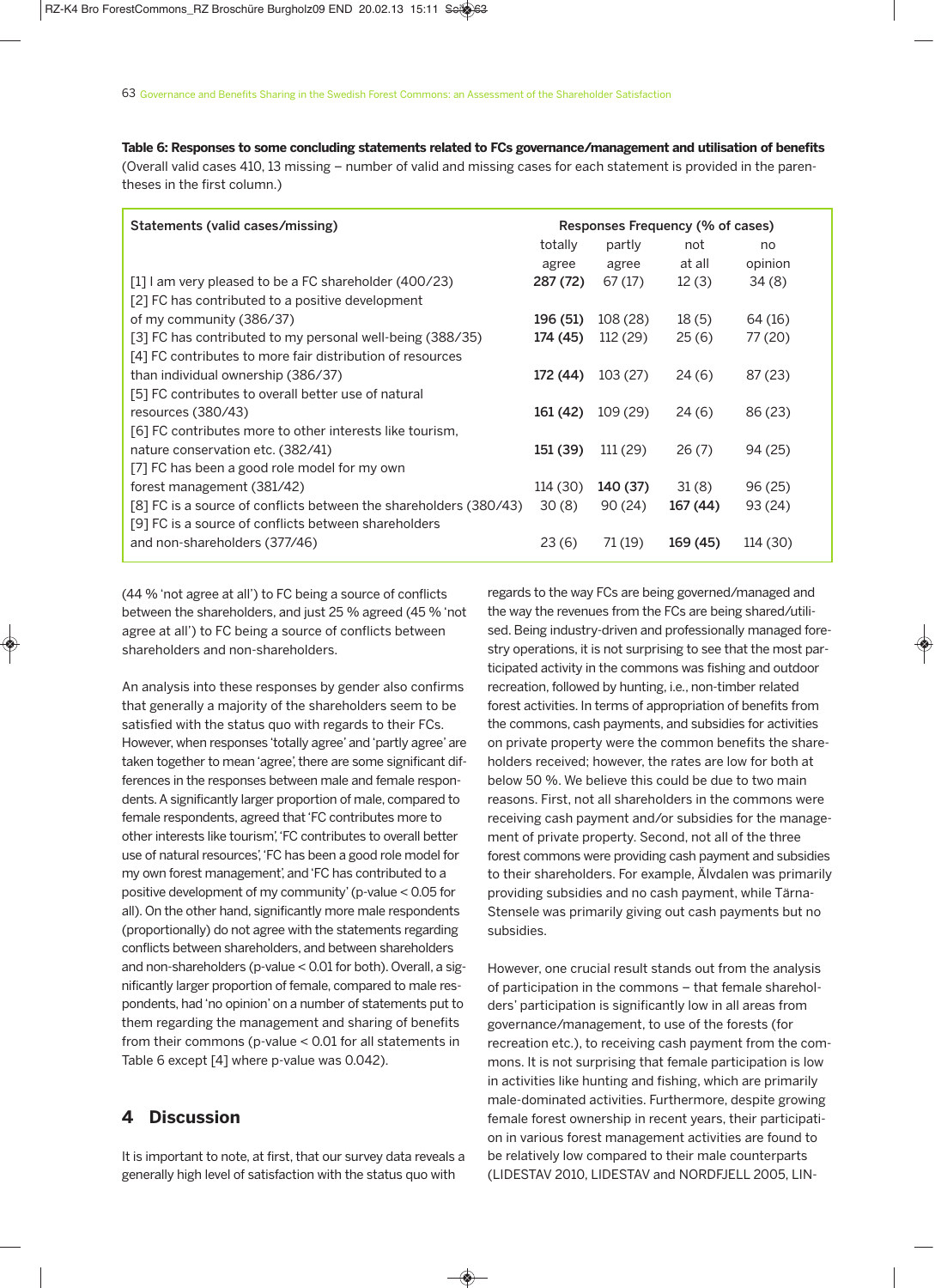**Table 6: Responses to some concluding statements related to FCs governance/management and utilisation of benefits** (Overall valid cases 410, 13 missing – number of valid and missing cases for each statement is provided in the parentheses in the first column.)

| Statements (valid cases/missing)                                  | Responses Frequency (% of cases) |          |          |          |
|-------------------------------------------------------------------|----------------------------------|----------|----------|----------|
|                                                                   | totally                          | partly   | not      | no       |
|                                                                   | agree                            | agree    | at all   | opinion  |
| $\lceil 1 \rceil$ am very pleased to be a FC shareholder (400/23) | 287 (72)                         | 67(17)   | 12(3)    | 34(8)    |
| [2] FC has contributed to a positive development                  |                                  |          |          |          |
| of my community (386/37)                                          | 196 (51)                         | 108 (28) | 18(5)    | 64 (16)  |
| [3] FC has contributed to my personal well-being (388/35)         | 174 (45)                         | 112 (29) | 25(6)    | 77 (20)  |
| [4] FC contributes to more fair distribution of resources         |                                  |          |          |          |
| than individual ownership (386/37)                                | 172 (44)                         | 103(27)  | 24(6)    | 87 (23)  |
| [5] FC contributes to overall better use of natural               |                                  |          |          |          |
| resources (380/43)                                                | 161 (42)                         | 109 (29) | 24(6)    | 86 (23)  |
| [6] FC contributes more to other interests like tourism,          |                                  |          |          |          |
| nature conservation etc. (382/41)                                 | 151 (39)                         | 111 (29) | 26(7)    | 94 (25)  |
| [7] FC has been a good role model for my own                      |                                  |          |          |          |
| forest management (381/42)                                        | 114 (30)                         | 140 (37) | 31(8)    | 96 (25)  |
| [8] FC is a source of conflicts between the shareholders (380/43) | 30(8)                            | 90(24)   | 167 (44) | 93 (24)  |
| [9] FC is a source of conflicts between shareholders              |                                  |          |          |          |
| and non-shareholders (377/46)                                     | 23(6)                            | 71 (19)  | 169 (45) | 114 (30) |

◈

(44 % 'not agree at all') to FC being a source of conflicts between the shareholders, and just 25 % agreed (45 % 'not agree at all') to FC being a source of conflicts between shareholders and non-shareholders.

An analysis into these responses by gender also confirms that generally a majority of the shareholders seem to be satisfied with the status quo with regards to their FCs. However, when responses 'totally agree' and'partly agree' are taken together to mean 'agree', there are some significant differences in the responses between male and female respondents.A significantly larger proportion of male, compared to female respondents, agreed that'FC contributes more to other interests like tourism','FC contributes to overall better use of natural resources','FC has been a good role model for my own forest management', and'FC has contributed to a positive development of my community'(p-value < 0.05 for all). On the other hand, significantly more male respondents (proportionally) do not agree with the statements regarding conflicts between shareholders, and between shareholders and non-shareholders (p-value < 0.01 for both). Overall, a significantly larger proportion of female, compared to male respondents, had 'no opinion' on a number of statements put to them regarding the management and sharing of benefits from their commons (p-value < 0.01 for all statements in Table 6 except [4] where p-value was 0.042).

#### **4 Discussion**

It is important to note, at first, that our survey data reveals a generally high level of satisfaction with the status quo with

regards to the way FCs are being governed/managed and the way the revenues from the FCs are being shared/utilised. Being industry-driven and professionally managed forestry operations, it is not surprising to see that the most participated activity in the commons was fishing and outdoor recreation, followed by hunting, i.e., non-timber related forest activities. In terms of appropriation of benefits from the commons, cash payments, and subsidies for activities on private property were the common benefits the shareholders received; however, the rates are low for both at below 50 %. We believe this could be due to two main reasons. First, not all shareholders in the commons were receiving cash payment and/or subsidies for the management of private property. Second, not all of the three forest commons were providing cash payment and subsidies to their shareholders. For example, Älvdalen was primarily providing subsidies and no cash payment, while Tärna-Stensele was primarily giving out cash payments but no subsidies.

However, one crucial result stands out from the analysis of participation in the commons – that female shareholders' participation is significantly low in all areas from governance/management, to use of the forests (for recreation etc.), to receiving cash payment from the commons. It is not surprising that female participation is low in activities like hunting and fishing, which are primarily male-dominated activities. Furthermore, despite growing female forest ownership in recent years, their participation in various forest management activities are found to be relatively low compared to their male counterparts (LIDESTAV 2010, LIDESTAV and NORDFJELL 2005, LIN-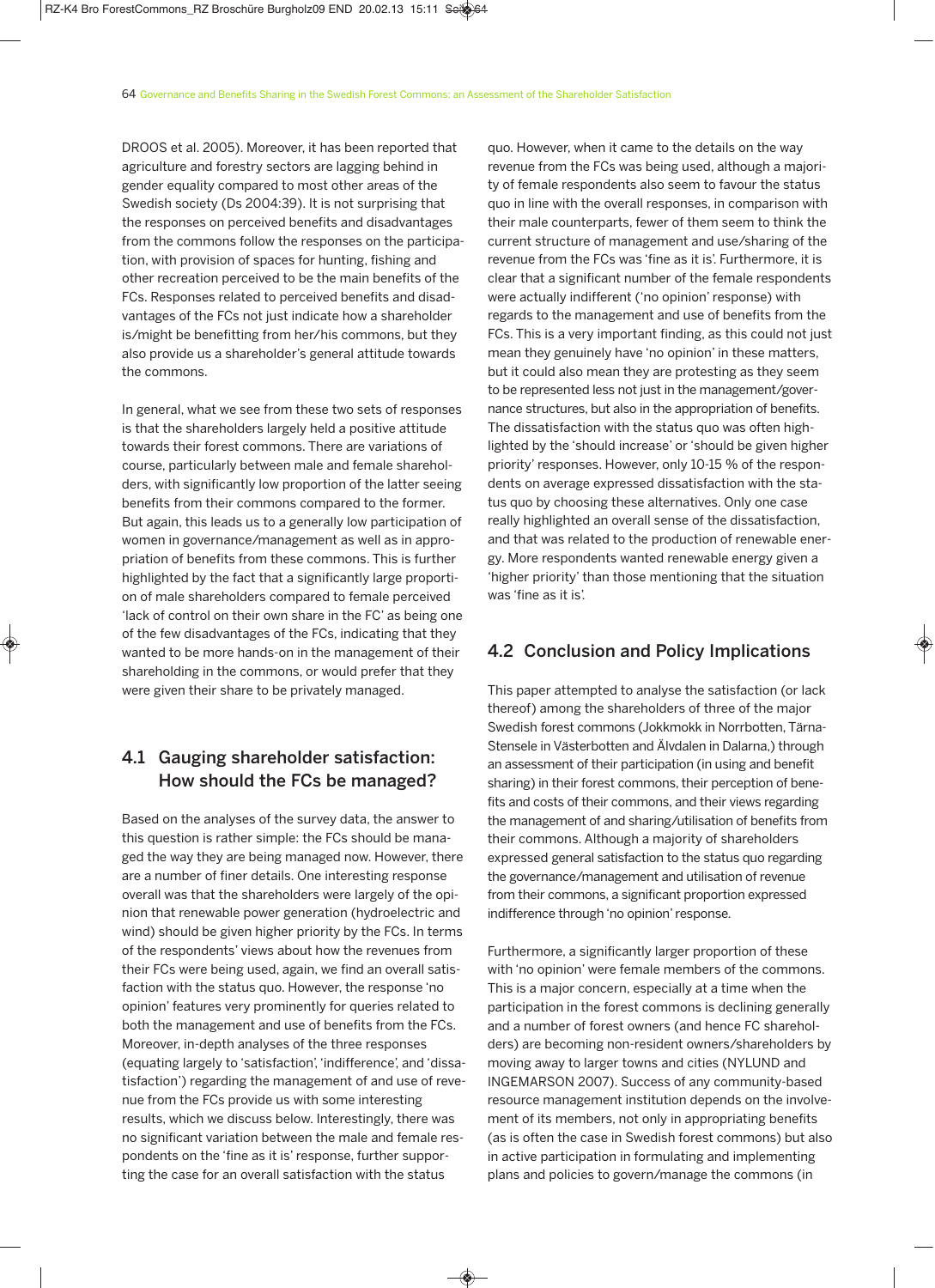DROOS et al. 2005). Moreover, it has been reported that agriculture and forestry sectors are lagging behind in gender equality compared to most other areas of the Swedish society (Ds 2004:39). It is not surprising that the responses on perceived benefits and disadvantages from the commons follow the responses on the participation, with provision of spaces for hunting, fishing and other recreation perceived to be the main benefits of the FCs. Responses related to perceived benefits and disadvantages of the FCs not just indicate how a shareholder is/might be benefitting from her/his commons, but they also provide us a shareholder's general attitude towards the commons.

In general, what we see from these two sets of responses is that the shareholders largely held a positive attitude towards their forest commons. There are variations of course, particularly between male and female shareholders, with significantly low proportion of the latter seeing benefits from their commons compared to the former. But again, this leads us to a generally low participation of women in governance/management as well as in appropriation of benefits from these commons. This is further highlighted by the fact that a significantly large proportion of male shareholders compared to female perceived 'lack of control on their own share in the FC' as being one of the few disadvantages of the FCs, indicating that they wanted to be more hands-on in the management of their shareholding in the commons, or would prefer that they were given their share to be privately managed.

# 4.1 Gauging shareholder satisfaction: How should the FCs be managed?

Based on the analyses of the survey data, the answer to this question is rather simple: the FCs should be managed the way they are being managed now. However, there are a number of finer details. One interesting response overall was that the shareholders were largely of the opinion that renewable power generation (hydroelectric and wind) should be given higher priority by the FCs. In terms of the respondents' views about how the revenues from their FCs were being used, again, we find an overall satisfaction with the status quo. However, the response 'no opinion' features very prominently for queries related to both the management and use of benefits from the FCs. Moreover, in-depth analyses of the three responses (equating largely to 'satisfaction', 'indifference', and 'dissatisfaction') regarding the management of and use of revenue from the FCs provide us with some interesting results, which we discuss below. Interestingly, there was no significant variation between the male and female respondents on the 'fine as it is' response, further supporting the case for an overall satisfaction with the status

 $\bigcirc$ 

quo. However, when it came to the details on the way revenue from the FCs was being used, although a majority of female respondents also seem to favour the status quo in line with the overall responses, in comparison with their male counterparts, fewer of them seem to think the current structure of management and use/sharing of the revenue from the FCs was 'fine as it is'. Furthermore, it is clear that a significant number of the female respondents were actually indifferent ('no opinion' response) with regards to the management and use of benefits from the FCs. This is a very important finding, as this could not just mean they genuinely have 'no opinion' in these matters, but it could also mean they are protesting as they seem to be represented less not just in the management/governance structures, but also in the appropriation of benefits. The dissatisfaction with the status quo was often highlighted by the 'should increase' or 'should be given higher priority' responses. However, only 10-15 % of the respondents on average expressed dissatisfaction with the status quo by choosing these alternatives. Only one case really highlighted an overall sense of the dissatisfaction, and that was related to the production of renewable energy. More respondents wanted renewable energy given a 'higher priority' than those mentioning that the situation was 'fine as it is'.

# 4.2 Conclusion and Policy Implications

This paper attempted to analyse the satisfaction (or lack thereof) among the shareholders of three of the major Swedish forest commons (Jokkmokk in Norrbotten, Tärna-Stensele in Västerbotten and Älvdalen in Dalarna,) through an assessment of their participation (in using and benefit sharing) in their forest commons, their perception of benefits and costs of their commons, and their views regarding the management of and sharing/utilisation of benefits from their commons. Although a majority of shareholders expressed general satisfaction to the status quo regarding the governance/management and utilisation of revenue from their commons, a significant proportion expressed indifference through 'no opinion' response.

Furthermore, a significantly larger proportion of these with 'no opinion' were female members of the commons. This is a major concern, especially at a time when the participation in the forest commons is declining generally and a number of forest owners (and hence FC shareholders) are becoming non-resident owners/shareholders by moving away to larger towns and cities (NYLUND and INGEMARSON 2007). Success of any community-based resource management institution depends on the involvement of its members, not only in appropriating benefits (as is often the case in Swedish forest commons) but also in active participation in formulating and implementing plans and policies to govern/manage the commons (in